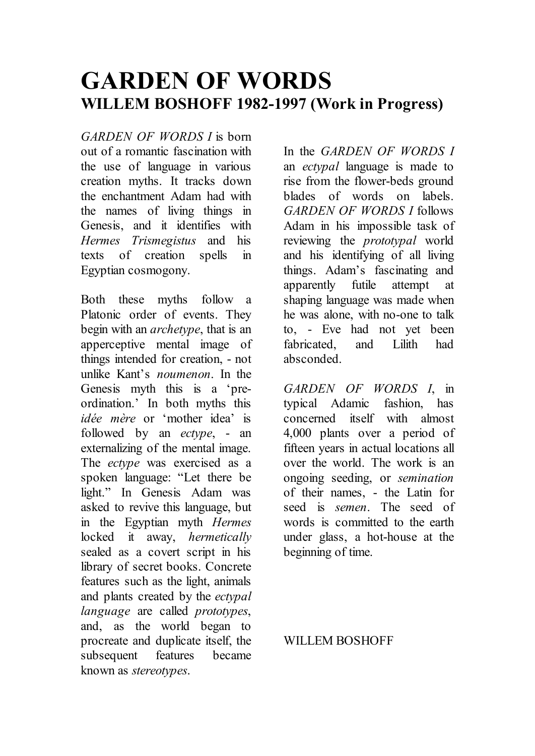# **GARDEN OF WORDS WILLEM BOSHOFF 1982-1997 (Work in Progress)**

*GARDEN OF WORDS I* is born out of a romantic fascination with the use of language in various creation myths. It tracks down the enchantment Adam had with the names of living things in Genesis, and it identifies with *Hermes Trismegistus* and his texts of creation spells in Egyptian cosmogony.

Both these myths follow a Platonic order of events. They begin with an *archetype*, that is an apperceptive mental image of things intended for creation, - not unlike Kant's *noumenon*. In the Genesis myth this is a 'preordination.' In both myths this *idée mère* or 'mother idea' is followed by an *ectype*, - an externalizing of the mental image. The *ectype* was exercised as a spoken language: "Let there be light." In Genesis Adam was asked to revive this language, but in the Egyptian myth *Hermes*  locked it away, *hermetically*  sealed as a covert script in his library of secret books. Concrete features such as the light, animals and plants created by the *ectypal language* are called *prototypes*, and, as the world began to procreate and duplicate itself, the subsequent features became known as *stereotypes*.

In the *GARDEN OF WORDS I* an *ectypal* language is made to rise from the flower-beds ground blades of words on labels. *GARDEN OF WORDS I* follows Adam in his impossible task of reviewing the *prototypal* world and his identifying of all living things. Adam's fascinating and apparently futile attempt at shaping language was made when he was alone, with no-one to talk to, - Eve had not yet been fabricated, and Lilith had absconded.

*GARDEN OF WORDS I*, in typical Adamic fashion, has concerned itself with almost 4,000 plants over a period of fifteen years in actual locations all over the world. The work is an ongoing seeding, or *semination* of their names, - the Latin for seed is *semen*. The seed of words is committed to the earth under glass, a hot-house at the beginning of time.

#### WILLEM BOSHOFF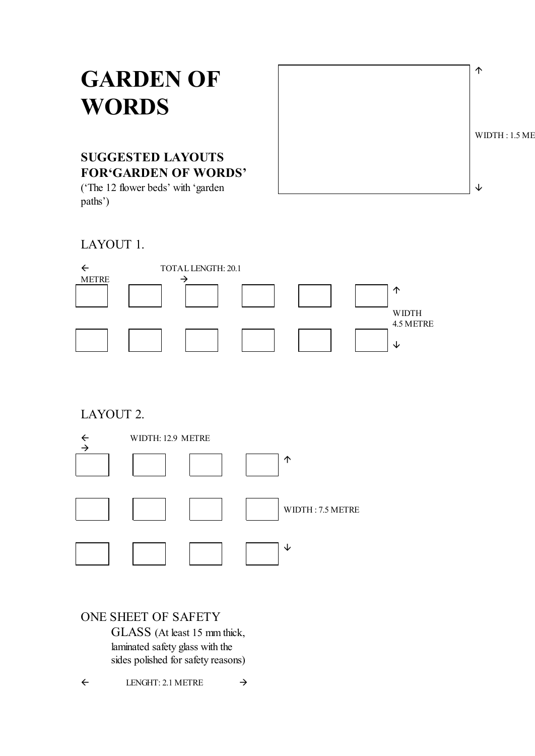# **GARDEN OF WORDS**



## **SUGGESTED LAYOUTS FOR'GARDEN OF WORDS'**

('The 12 flower beds' with 'garden paths')

### LAYOUT 1.



### LAYOUT 2.



### ONE SHEET OF SAFETY

GLASS (At least 15 mm thick, laminated safety glass with the sides polished for safety reasons)

 $\leftarrow$  LENGHT: 2.1 METRE  $\rightarrow$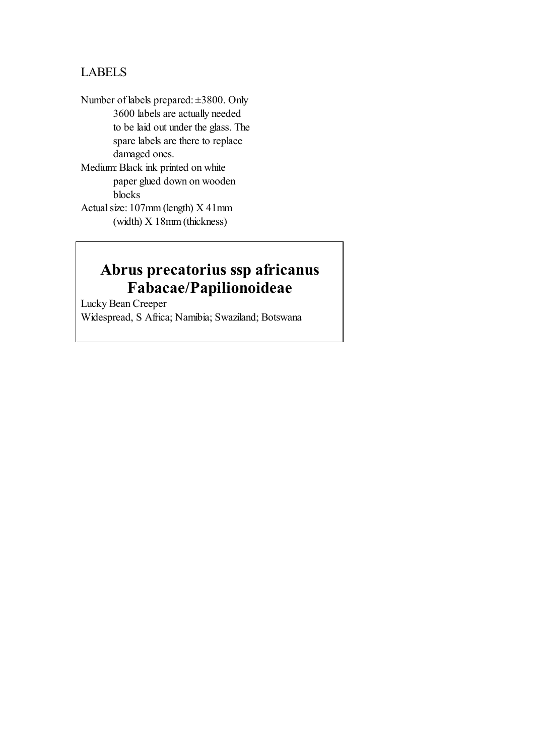### LABELS

Number of labels prepared: ±3800. Only 3600 labels are actually needed to be laid out under the glass. The spare labels are there to replace damaged ones. Medium: Black ink printed on white paper glued down on wooden blocks

Actual size: 107mm (length) X 41mm (width) X 18mm (thickness)

# **Abrus precatorius ssp africanus Fabacae/Papilionoideae**

Lucky Bean Creeper Widespread, S Africa; Namibia; Swaziland; Botswana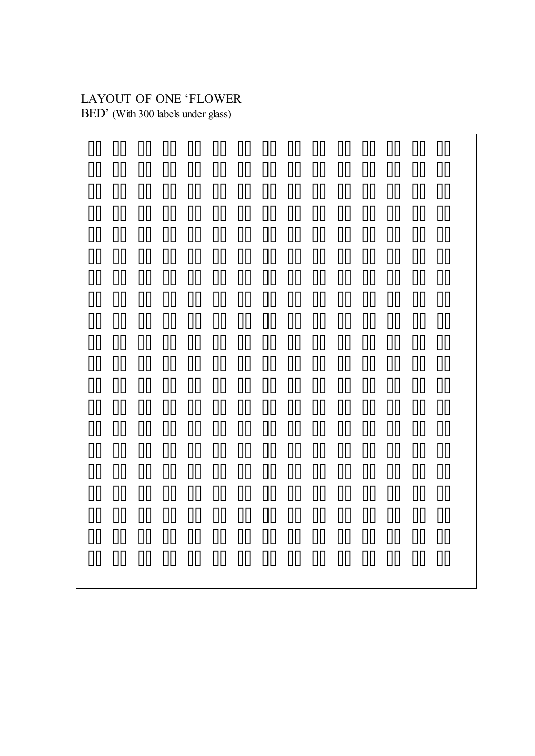# LAYOUT OF ONE 'FLOWER

BED' (With 300 labels under glass)

| ΠП<br>ΠП<br>ΠП<br>$\prod$<br>Ш<br>║║<br>ℿ<br>$\prod$<br>$\prod$<br>00<br>$\Box\Box$<br>$\prod$<br>$\Box\Box$<br>$\mathop{\text{III}}\nolimits$<br>Ш<br>ΠП<br>ΠП<br>Ш | ║║<br>║║<br>ΠП<br>$\prod$<br>Ш<br>ПΠ | ΠП<br>$\prod$<br>ΠП<br>ℿ<br>$\prod$<br>ΠП | $\prod$<br>Ш<br>◫▯<br>Ш<br>$\Box$<br>$\prod$ | Ш<br>Ш<br>$\Box$<br>ℿ<br>$\Box\Box$<br>$\Box\Box$ | ΠП<br>Ⅲ<br>◫<br>◫▯<br>$\Box$<br>$\prod$ | ║║<br>Ш<br>ПΠ<br>◫▯<br>ПΠ<br>ПΠ | ШI<br>Ш<br>◫<br>Ш<br>Ш<br>Ш | ║║<br>║║<br>$\Box$<br>Ⅲ<br>Ш<br>ПΠ | [     <br>$\mathop{\rm III}\nolimits$<br>00<br>$\prod$<br>Ш<br>Ш                                                                                                                                                                                                                                                                                                                                                                                                   | ║║<br>$\Box$<br>ΠП<br>Ш<br>Ш<br>Ш | ΠП<br>$\prod$<br>00<br>$\Box$<br>Ш<br>Ш | ΠП<br>ℿ<br>ℿ<br>00<br>ℿ<br>ℿ |
|----------------------------------------------------------------------------------------------------------------------------------------------------------------------|--------------------------------------|-------------------------------------------|----------------------------------------------|---------------------------------------------------|-----------------------------------------|---------------------------------|-----------------------------|------------------------------------|--------------------------------------------------------------------------------------------------------------------------------------------------------------------------------------------------------------------------------------------------------------------------------------------------------------------------------------------------------------------------------------------------------------------------------------------------------------------|-----------------------------------|-----------------------------------------|------------------------------|
| $\Box\Box$<br>Ш<br>Ш                                                                                                                                                 | $\Box$                               | $\prod$                                   | $\prod$                                      | 00                                                | Ⅲ                                       | 00                              | $\Box$                      | $\mathbf{u}$                       | 00                                                                                                                                                                                                                                                                                                                                                                                                                                                                 | Ш                                 | Ш                                       | ℿ                            |
| $\prod$<br>W<br>Ш<br>00<br>$\mathbb{H}$<br>Ш                                                                                                                         | $\prod$<br>W                         | $\prod$<br>Ш                              | $\mathop{\text{III}}\nolimits$<br>00         | $\Box$<br>00                                      | Ш<br>◫                                  | $\prod$<br>00                   | Ш<br>00                     | $\prod$<br>◫                       | W<br>W                                                                                                                                                                                                                                                                                                                                                                                                                                                             | Ш<br>$\prod$                      | Ш<br>Ш                                  | $\Box$<br>ℿ                  |
| Ш<br>Ш<br>Ш                                                                                                                                                          | Ш                                    | Ш                                         | Ш                                            | $\mathop{\text{III}}\nolimits$                    | Ш                                       | Ш                               | Ш                           | Ш                                  | $\prod$                                                                                                                                                                                                                                                                                                                                                                                                                                                            | UU                                | Ш                                       | ℿ                            |
| ПΠ<br>ΠП<br>║║<br>ΠП<br>00<br>║║                                                                                                                                     | ΠП<br>║║                             | ΠП<br>ΠП                                  | $\prod$<br>Ш                                 | ΠП<br>ℿ                                           | 00<br>ℿ                                 | ΠП<br>Ш                         | $\prod$<br>Ш                | $\prod$<br>ℿ                       | $\eta_{\rm II}$<br>ℿ                                                                                                                                                                                                                                                                                                                                                                                                                                               | $\prod \prod$<br>ℿ                | ΠП<br>ℿ                                 | ℿ<br>ℿ                       |
| ΠП<br>Ш<br>$\vert \vert \vert \vert$                                                                                                                                 | $\mathop{\rm III}\nolimits$          | $\Box\Box$                                | ℿ                                            | ◫▯                                                | ◫                                       | Ш                               | ◫                           | Ш                                  | Ш                                                                                                                                                                                                                                                                                                                                                                                                                                                                  | Ⅲ                                 | ℿ                                       | ◫▯                           |
| 00<br>$\prod$<br>Ш<br>00<br>00<br>Ш                                                                                                                                  | ΠП<br>00                             | $\Box\Box$<br>$\Box$                      | 00<br>$\Box$                                 | 00<br>$\Box$                                      | ◫▯<br>ℿ                                 | 00<br>00                        | 00<br>00                    | 00<br>◫▯                           | 00<br>◫▯                                                                                                                                                                                                                                                                                                                                                                                                                                                           | 00<br>Ш                           | 00<br>Ш                                 | ℿ<br>ℿ                       |
| 00<br>$\prod$<br>Ш                                                                                                                                                   | ΠП                                   | $\prod$                                   | $\prod$                                      | $\Box$                                            | $\prod$                                 | ПΠ                              | Ш                           | Ш                                  | Ш                                                                                                                                                                                                                                                                                                                                                                                                                                                                  | Ш                                 | Ш                                       | ℿ                            |
| 00<br>ΠП<br>Ш<br>ℿ<br>$\prod$<br>Ш                                                                                                                                   | ΠП<br>Ш                              | ΠП<br>$\prod$                             | ΠП<br>$\prod$                                | ◫▯<br>$\prod$                                     | 00<br>00                                | $\prod$<br>00                   | $\prod$<br>$\Box$           | ΠП<br>$\prod$                      | ПΠ<br>M                                                                                                                                                                                                                                                                                                                                                                                                                                                            | Ш<br>ΠП                           | Ш<br>$\Box\Box$                         | ℿ<br>ℿ                       |
| Ш<br>Ш<br>$\prod$<br>ΠП<br>║║                                                                                                                                        | ΠП<br>ПΠ                             | $\Box\Box$<br>ℿ                           | ◫<br>$\prod$                                 | ℿ<br>ℿ                                            | ℿ<br>◫▯                                 | 00<br>$\Box$                    | ℿ<br>$\Box$                 | $\Box$<br>$\Box$                   | $[] \centering \includegraphics[width=0.47\textwidth]{Figures/PD1.png} \caption{The number of different values of $D \sim 10^{-4}$~cm$^{2}$ and $D \sim 10^{-4}$~cm$^{2}$ and $D \sim 10^{-4}$~cm$^{2}$ and $D \sim 10^{-4}$~cm$^{2}$ and $D \sim 10^{-4}$~cm$^{2}$ and $D \sim 10^{-4}$~cm$^{2}$ and $D \sim 10^{-4}$~cm$^{2}$ and $D \sim 10^{-4}$~cm$^{2}$ and $D \sim 10^{-4}$~cm$^{2}$ and $D \sim 10^{-4}$~cm$^{2}$ and $D \sim 10^{-4}$~cm$^{2}$$<br>$\Box$ | Ⅲ<br>Ⅲ                            | 00<br>∭                                 | ◫<br>◫▯                      |
|                                                                                                                                                                      |                                      |                                           |                                              |                                                   |                                         |                                 |                             |                                    |                                                                                                                                                                                                                                                                                                                                                                                                                                                                    |                                   |                                         |                              |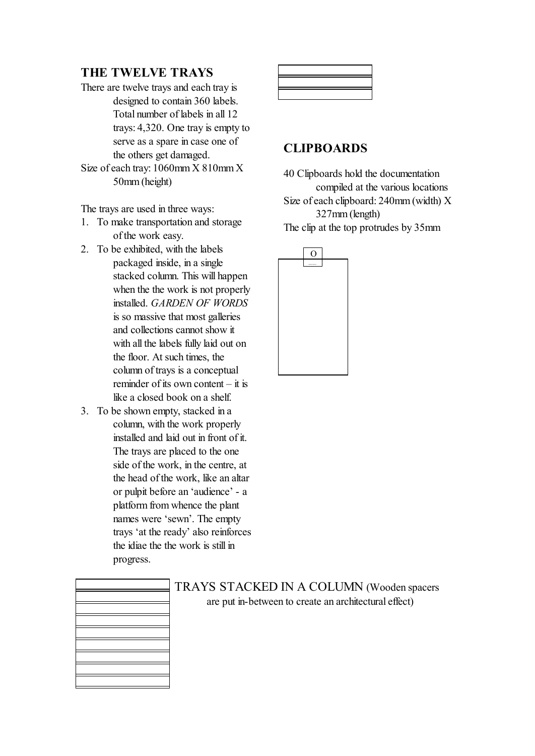### **THE TWELVE TRAYS**

- There are twelve trays and each tray is designed to contain 360 labels. Total number of labels in all 12 trays: 4,320. One tray is empty to serve as a spare in case one of the others get damaged.
- Size of each tray: 1060mm X 810mm X 50mm (height)

The trays are used in three ways:

- 1. To make transportation and storage of the work easy.
- 2. To be exhibited, with the labels packaged inside, in a single stacked column. This will happen when the the work is not properly installed. *GARDEN OF WORDS*  is so massive that most galleries and collections cannot show it with all the labels fully laid out on the floor. At such times, the column of trays is a conceptual reminder of its own content – it is like a closed book on a shelf.
- 3. To be shown empty, stacked in a column, with the work properly installed and laid out in front of it. The trays are placed to the one side of the work, in the centre, at the head of the work, like an altar or pulpit before an 'audience' - a platform from whence the plant names were 'sewn'. The empty trays 'at the ready' also reinforces the idiae the the work is still in progress.



#### **CLIPBOARDS**

40 Clipboards hold the documentation compiled at the various locations

Size of each clipboard: 240mm (width) X 327mm (length)

The clip at the top protrudes by 35mm





TRAYS STACKED IN A COLUMN (Wooden spacers are put in-between to create an architectural effect)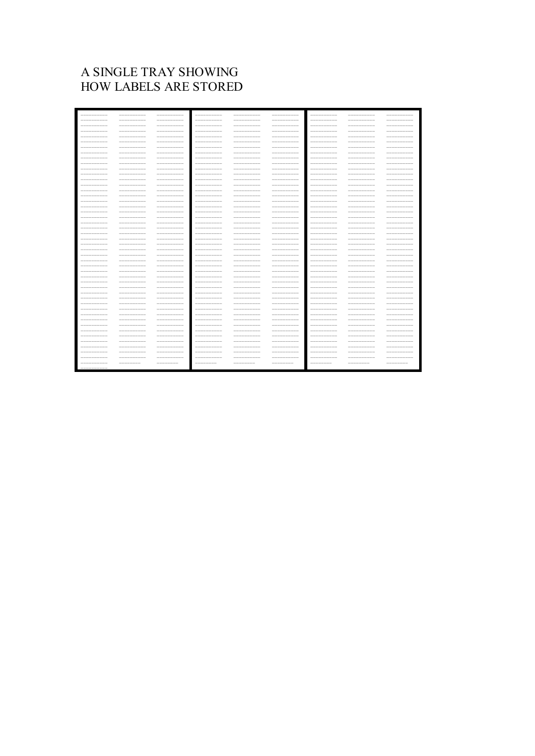### A SINGLE TRAY SHOWING HOW LABELS ARE STORED

| _________  | __________ | $------------$         | _________      | __________                   | -----------    | __________  |             |                  |
|------------|------------|------------------------|----------------|------------------------------|----------------|-------------|-------------|------------------|
| __________ |            | $------------$         | $------------$ |                              | -----------    | __________  |             |                  |
|            |            | -----                  |                |                              |                | _________   |             |                  |
|            |            | -------                | -----------    |                              | __________     |             |             |                  |
|            |            | -----<br>$\frac{1}{2}$ | -----------    |                              | _______        | ______      |             |                  |
| ---------- | __________ | __________             | $------------$ | __________                   | __________     | ----------- |             | $-\!$<br>_______ |
| _________  |            | __________             | -----------    | _______                      | __________     | __________  |             |                  |
| _________  |            | -----------            | -----------    |                              | --------       | ----------- |             |                  |
| ---------- |            | $------------$         | __________     |                              | __________     | __________  |             |                  |
| _________  | __________ | __________             | __________     | __________                   | __________     | __________  | __________  |                  |
| __________ | __________ | __________             | __________     | -----------                  | $------------$ | __________  | ----------  | __________       |
| ---------- | __________ | __________             | __________     | __________                   | __________     | __________  |             | __________       |
| __________ | __________ | -----------            | __________     | -----------                  | __________     | __________  | __________  | __________       |
| _________  | __________ | __________             | __________     | __________                   | -----------    | __________  | __________  | __________       |
| ---------- |            | -----------            | -----------    |                              | -----------    | __________  |             |                  |
|            |            | __________             | __________     |                              | _______        |             |             |                  |
|            |            | -----------            | __________     |                              | __________     |             |             |                  |
|            |            | __________             | -----------    |                              | ---------      |             |             |                  |
|            |            | -----------            | __________     | __________                   | -----------    |             |             |                  |
|            |            | __________             | __________     | $\qquad \qquad -$            | _______        |             |             |                  |
| ---------- |            | -----------            | -----------    | -----------                  | __________     | ----------- | __________  | __________       |
| ________   | __________ | -----------            | -----------    | _______                      | __________     | __________  |             |                  |
|            |            | __________             | __________     | --------                     | --------       |             |             |                  |
| ---------- |            | -----------            | __________     | -----------                  | -----------    | ----------- |             |                  |
|            |            | __________             | __________     | _______<br>$\qquad \qquad -$ | $------------$ |             |             |                  |
| ---------- | __________ | __________             | __________     | -----------                  | -----------    | ----------- | __________  | -----------      |
| _________  | __________ | __________             | -----------    | __________                   | -----------    | __________  | __________  | __________       |
| __________ | __________ | __________             |                | __________                   | __________     | __________  | __________  | __________       |
| _________  | __________ | -----------            | -----------    | _______                      | -----------    | ----------  |             | _______          |
| ---------- |            | __________             | __________     |                              | __________     |             |             |                  |
|            |            | __________             | __________     |                              |                |             |             |                  |
|            |            | __________             | __________     | __________                   | __________     |             |             |                  |
| ---------- |            | -----------            | __________     |                              | ---------      | __________  |             |                  |
|            | __________ | -----------            | $------------$ | __________                   | __________     |             | ___________ | $-$              |
| ---------- | __________ | __________             | __________     |                              | __________     | __________  |             |                  |
| _________  | __________ | -----------            | __________     | __________                   | -----------    | __________  | __________  | __________       |
| _________  |            | -----------            | -----------    |                              | -----------    | ----------  |             |                  |
|            |            | __________             | __________     |                              | --------       | __________  |             |                  |
| ---------- | ---------  | __________             | __________     | __________                   | __________     | ----------- | --------    |                  |
|            | __________ | __________             | __________     | -----------                  | -----------    | __________  |             |                  |
| __________ | __________ | __________             | $-----$        | __________                   | __________     | __________  | __________  | __________       |
| ---------- | __________ | -----------            | -----------    | _______                      | __________     | ----------  | __________  | --------         |
| ---------- | __________ | __________             | __________     | -----------                  | __________     | __________  | __________  | __________       |
|            |            | -----------            | -----------    |                              | --------       | __________  |             | ______           |
|            |            | __________             | __________     |                              | _______        |             |             |                  |
| --------   |            |                        |                |                              |                | __________  |             |                  |
|            |            | ________               | ---------      |                              | ---------      | ---------   |             |                  |
|            |            |                        |                |                              |                |             |             |                  |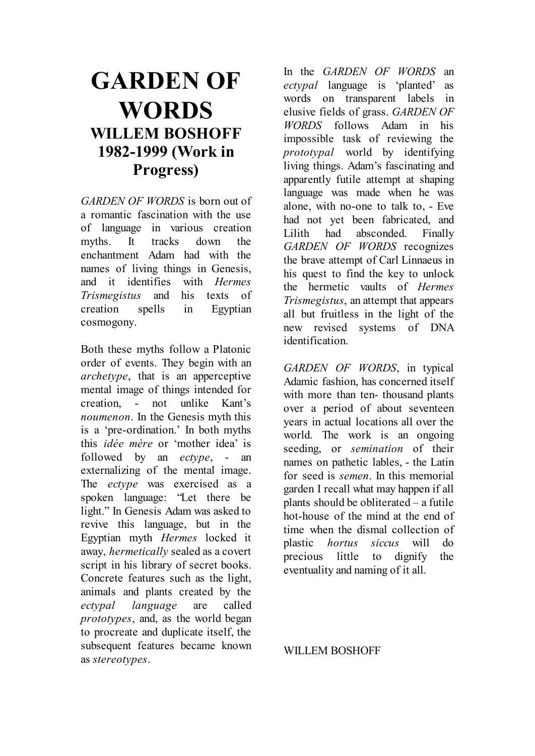# **GARDEN OF WORDS WILLEM BOSHOFF 1982-1999 (Work in Progress)**

*GARDEN OF WORDS* is born out of a romantic fascination with the use of language in various creation myths. It tracks down the enchantment Adam had with the names of living things in Genesis, and it identifies with *Hermes Trismegistus* and his texts of creation spells in Egyptian cosmogony.

Both these myths follow a Platonic order of events. They begin with an *archetype*, that is an apperceptive mental image of things intended for creation, - not unlike Kant's *noumenon*. In the Genesis myth this is a 'pre-ordination.' In both myths this *idée mère* or 'mother idea' is followed by an *ectype*, - an externalizing of the mental image. The *ectype* was exercised as a spoken language: "Let there be light." In Genesis Adam was asked to revive this language, but in the Egyptian myth *Hermes* locked it away, *hermetically* sealed as a covert script in his library of secret books. Concrete features such as the light, animals and plants created by the *ectypal language* are called *prototypes*, and, as the world began to procreate and duplicate itself, the subsequent features became known as *stereotypes*.

In the *GARDEN OF WORDS* an *ectypal* language is 'planted' as words on transparent labels in elusive fields of grass. *GARDEN OF WORDS* follows Adam in his impossible task of reviewing the *prototypal* world by identifying living things. Adam's fascinating and apparently futile attempt at shaping language was made when he was alone, with no-one to talk to, - Eve had not yet been fabricated, and Lilith had absconded. Finally *GARDEN OF WORDS* recognizes the brave attempt of Carl Linnaeus in his quest to find the key to unlock the hermetic vaults of *Hermes Trismegistus*, an attempt that appears all but fruitless in the light of the new revised systems of DNA identification.

*GARDEN OF WORDS*, in typical Adamic fashion, has concerned itself with more than ten- thousand plants over a period of about seventeen years in actual locations all over the world. The work is an ongoing seeding, or *semination* of their names on pathetic lables, - the Latin for seed is *semen*. In this memorial garden I recall what may happen if all plants should be obliterated – a futile hot-house of the mind at the end of time when the dismal collection of plastic *hortus siccus* will do precious little to dignify the eventuality and naming of it all.

#### WILLEM BOSHOFF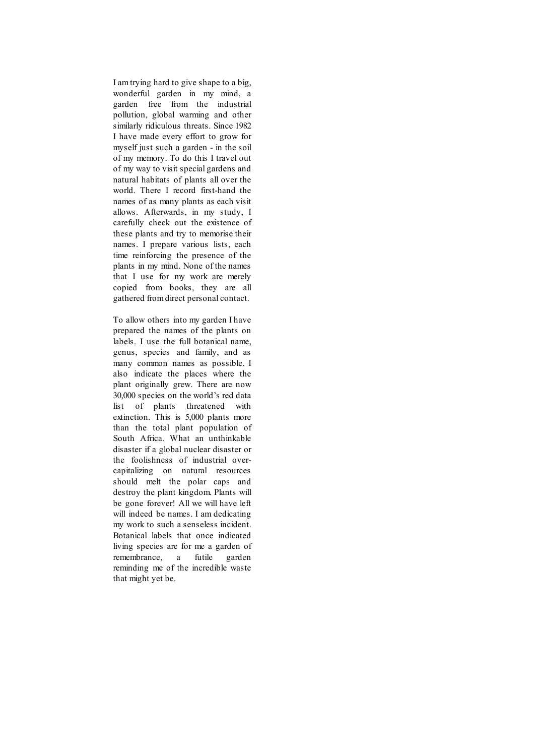I am trying hard to give shape to a big, wonderful garden in my mind, a garden free from the industrial pollution, global warming and other similarly ridiculous threats. Since 1982 I have made every effort to grow for myself just such a garden - in the soil of my memory. To do this I travel out of my way to visit special gardens and natural habitats of plants all over the world. There I record first-hand the names of as many plants as each visit allows. Afterwards, in my study, I carefully check out the existence of these plants and try to memorise their names. I prepare various lists, each time reinforcing the presence of the plants in my mind. None of the names that I use for my work are merely copied from books, they are all gathered from direct personal contact.

To allow others into my garden I have prepared the names of the plants on labels. I use the full botanical name, genus, species and family, and as many common names as possible. I also indicate the places where the plant originally grew. There are now 30,000 species on the world's red data list of plants threatened with extinction. This is 5,000 plants more than the total plant population of South Africa. What an unthinkable disaster if a global nuclear disaster or the foolishness of industrial overcapitalizing on natural resources should melt the polar caps and destroy the plant kingdom. Plants will be gone forever! All we will have left will indeed be names. I am dedicating my work to such a senseless incident. Botanical labels that once indicated living species are for me a garden of remembrance, a futile garden reminding me of the incredible waste that might yet be.